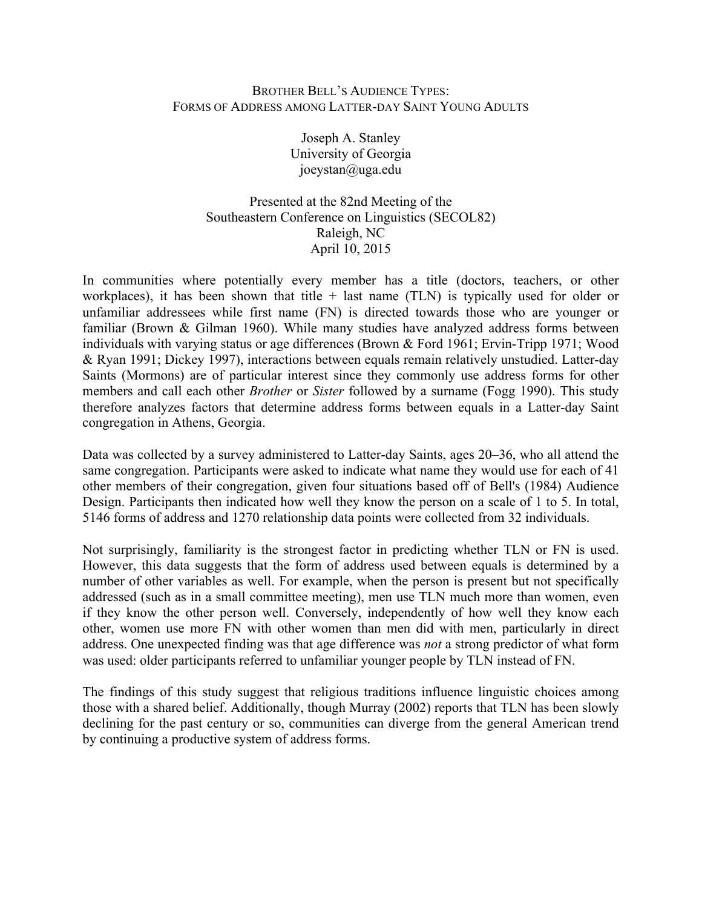## BROTHER BELL'S AUDIENCE TYPES: FORMS OF ADDRESS AMONG LATTER-DAY SAINT YOUNG ADULTS

Joseph A. Stanley University of Georgia joeystan@uga.edu

Presented at the 82nd Meeting of the Southeastern Conference on Linguistics (SECOL82) Raleigh, NC April 10, 2015

In communities where potentially every member has a title (doctors, teachers, or other workplaces), it has been shown that title  $+$  last name (TLN) is typically used for older or unfamiliar addressees while first name (FN) is directed towards those who are younger or familiar (Brown & Gilman 1960). While many studies have analyzed address forms between individuals with varying status or age differences (Brown & Ford 1961; Ervin-Tripp 1971; Wood & Ryan 1991; Dickey 1997), interactions between equals remain relatively unstudied. Latter-day Saints (Mormons) are of particular interest since they commonly use address forms for other members and call each other *Brother* or *Sister* followed by a surname (Fogg 1990). This study therefore analyzes factors that determine address forms between equals in a Latter-day Saint congregation in Athens, Georgia.

Data was collected by a survey administered to Latter-day Saints, ages 20–36, who all attend the same congregation. Participants were asked to indicate what name they would use for each of 41 other members of their congregation, given four situations based off of Bell's (1984) Audience Design. Participants then indicated how well they know the person on a scale of 1 to 5. In total, 5146 forms of address and 1270 relationship data points were collected from 32 individuals.

Not surprisingly, familiarity is the strongest factor in predicting whether TLN or FN is used. However, this data suggests that the form of address used between equals is determined by a number of other variables as well. For example, when the person is present but not specifically addressed (such as in a small committee meeting), men use TLN much more than women, even if they know the other person well. Conversely, independently of how well they know each other, women use more FN with other women than men did with men, particularly in direct address. One unexpected finding was that age difference was *not* a strong predictor of what form was used: older participants referred to unfamiliar younger people by TLN instead of FN.

The findings of this study suggest that religious traditions influence linguistic choices among those with a shared belief. Additionally, though Murray (2002) reports that TLN has been slowly declining for the past century or so, communities can diverge from the general American trend by continuing a productive system of address forms.